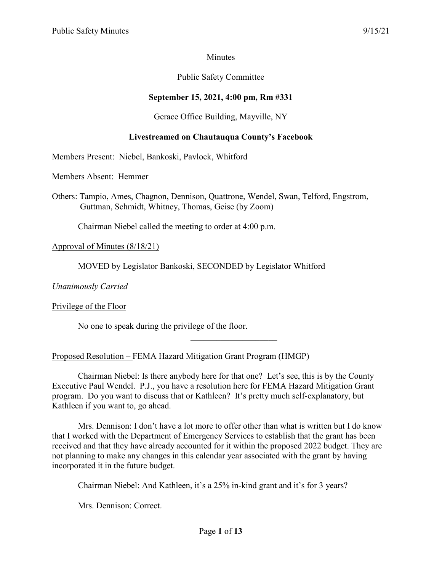# **Minutes**

# Public Safety Committee

# **September 15, 2021, 4:00 pm, Rm #331**

#### Gerace Office Building, Mayville, NY

#### **Livestreamed on Chautauqua County's Facebook**

Members Present: Niebel, Bankoski, Pavlock, Whitford

Members Absent: Hemmer

Others: Tampio, Ames, Chagnon, Dennison, Quattrone, Wendel, Swan, Telford, Engstrom, Guttman, Schmidt, Whitney, Thomas, Geise (by Zoom)

Chairman Niebel called the meeting to order at 4:00 p.m.

#### Approval of Minutes (8/18/21)

MOVED by Legislator Bankoski, SECONDED by Legislator Whitford

*Unanimously Carried*

#### Privilege of the Floor

No one to speak during the privilege of the floor.

Proposed Resolution – FEMA Hazard Mitigation Grant Program (HMGP)

Chairman Niebel: Is there anybody here for that one? Let's see, this is by the County Executive Paul Wendel. P.J., you have a resolution here for FEMA Hazard Mitigation Grant program. Do you want to discuss that or Kathleen? It's pretty much self-explanatory, but Kathleen if you want to, go ahead.

Mrs. Dennison: I don't have a lot more to offer other than what is written but I do know that I worked with the Department of Emergency Services to establish that the grant has been received and that they have already accounted for it within the proposed 2022 budget. They are not planning to make any changes in this calendar year associated with the grant by having incorporated it in the future budget.

Chairman Niebel: And Kathleen, it's a 25% in-kind grant and it's for 3 years?

Mrs. Dennison: Correct.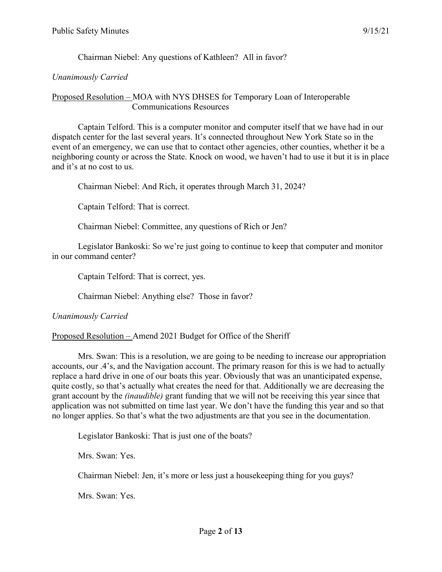Chairman Niebel: Any questions of Kathleen? All in favor?

## *Unanimously Carried*

#### Proposed Resolution – MOA with NYS DHSES for Temporary Loan of Interoperable Communications Resources

Captain Telford. This is a computer monitor and computer itself that we have had in our dispatch center for the last several years. It's connected throughout New York State so in the event of an emergency, we can use that to contact other agencies, other counties, whether it be a neighboring county or across the State. Knock on wood, we haven't had to use it but it is in place and it's at no cost to us.

Chairman Niebel: And Rich, it operates through March 31, 2024?

Captain Telford: That is correct.

Chairman Niebel: Committee, any questions of Rich or Jen?

Legislator Bankoski: So we're just going to continue to keep that computer and monitor in our command center?

Captain Telford: That is correct, yes.

Chairman Niebel: Anything else? Those in favor?

#### *Unanimously Carried*

Proposed Resolution – Amend 2021 Budget for Office of the Sheriff

Mrs. Swan: This is a resolution, we are going to be needing to increase our appropriation accounts, our .4's, and the Navigation account. The primary reason for this is we had to actually replace a hard drive in one of our boats this year. Obviously that was an unanticipated expense, quite costly, so that's actually what creates the need for that. Additionally we are decreasing the grant account by the *(inaudible)* grant funding that we will not be receiving this year since that application was not submitted on time last year. We don't have the funding this year and so that no longer applies. So that's what the two adjustments are that you see in the documentation.

Legislator Bankoski: That is just one of the boats?

Mrs. Swan: Yes.

Chairman Niebel: Jen, it's more or less just a housekeeping thing for you guys?

Mrs. Swan: Yes.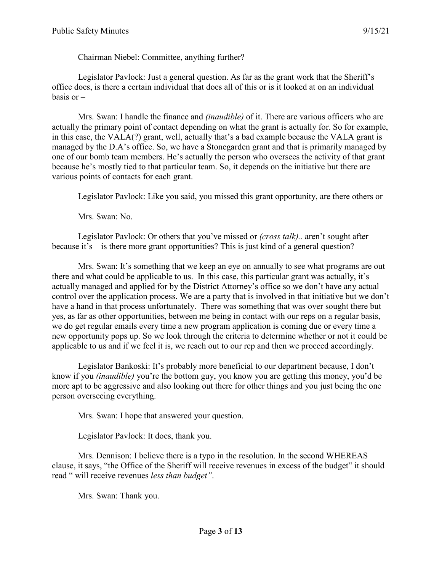Chairman Niebel: Committee, anything further?

Legislator Pavlock: Just a general question. As far as the grant work that the Sheriff's office does, is there a certain individual that does all of this or is it looked at on an individual basis or  $-$ 

Mrs. Swan: I handle the finance and *(inaudible)* of it. There are various officers who are actually the primary point of contact depending on what the grant is actually for. So for example, in this case, the VALA(?) grant, well, actually that's a bad example because the VALA grant is managed by the D.A's office. So, we have a Stonegarden grant and that is primarily managed by one of our bomb team members. He's actually the person who oversees the activity of that grant because he's mostly tied to that particular team. So, it depends on the initiative but there are various points of contacts for each grant.

Legislator Pavlock: Like you said, you missed this grant opportunity, are there others or –

Mrs. Swan: No.

Legislator Pavlock: Or others that you've missed or *(cross talk)..* aren't sought after because it's – is there more grant opportunities? This is just kind of a general question?

Mrs. Swan: It's something that we keep an eye on annually to see what programs are out there and what could be applicable to us. In this case, this particular grant was actually, it's actually managed and applied for by the District Attorney's office so we don't have any actual control over the application process. We are a party that is involved in that initiative but we don't have a hand in that process unfortunately. There was something that was over sought there but yes, as far as other opportunities, between me being in contact with our reps on a regular basis, we do get regular emails every time a new program application is coming due or every time a new opportunity pops up. So we look through the criteria to determine whether or not it could be applicable to us and if we feel it is, we reach out to our rep and then we proceed accordingly.

Legislator Bankoski: It's probably more beneficial to our department because, I don't know if you *(inaudible)* you're the bottom guy, you know you are getting this money, you'd be more apt to be aggressive and also looking out there for other things and you just being the one person overseeing everything.

Mrs. Swan: I hope that answered your question.

Legislator Pavlock: It does, thank you.

Mrs. Dennison: I believe there is a typo in the resolution. In the second WHEREAS clause, it says, "the Office of the Sheriff will receive revenues in excess of the budget" it should read " will receive revenues *less than budget"*.

Mrs. Swan: Thank you.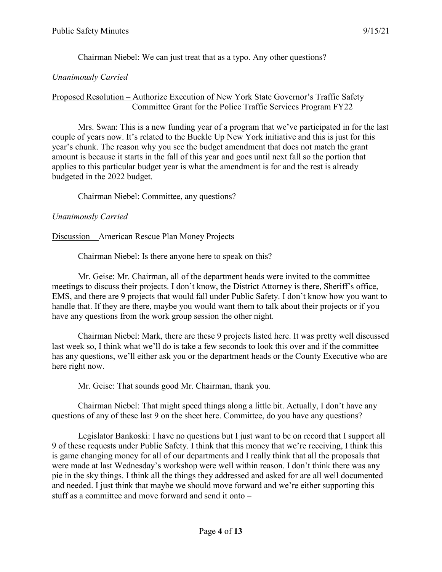Chairman Niebel: We can just treat that as a typo. Any other questions?

# *Unanimously Carried*

# Proposed Resolution – Authorize Execution of New York State Governor's Traffic Safety Committee Grant for the Police Traffic Services Program FY22

Mrs. Swan: This is a new funding year of a program that we've participated in for the last couple of years now. It's related to the Buckle Up New York initiative and this is just for this year's chunk. The reason why you see the budget amendment that does not match the grant amount is because it starts in the fall of this year and goes until next fall so the portion that applies to this particular budget year is what the amendment is for and the rest is already budgeted in the 2022 budget.

Chairman Niebel: Committee, any questions?

# *Unanimously Carried*

Discussion – American Rescue Plan Money Projects

Chairman Niebel: Is there anyone here to speak on this?

Mr. Geise: Mr. Chairman, all of the department heads were invited to the committee meetings to discuss their projects. I don't know, the District Attorney is there, Sheriff's office, EMS, and there are 9 projects that would fall under Public Safety. I don't know how you want to handle that. If they are there, maybe you would want them to talk about their projects or if you have any questions from the work group session the other night.

Chairman Niebel: Mark, there are these 9 projects listed here. It was pretty well discussed last week so, I think what we'll do is take a few seconds to look this over and if the committee has any questions, we'll either ask you or the department heads or the County Executive who are here right now.

Mr. Geise: That sounds good Mr. Chairman, thank you.

Chairman Niebel: That might speed things along a little bit. Actually, I don't have any questions of any of these last 9 on the sheet here. Committee, do you have any questions?

Legislator Bankoski: I have no questions but I just want to be on record that I support all 9 of these requests under Public Safety. I think that this money that we're receiving, I think this is game changing money for all of our departments and I really think that all the proposals that were made at last Wednesday's workshop were well within reason. I don't think there was any pie in the sky things. I think all the things they addressed and asked for are all well documented and needed. I just think that maybe we should move forward and we're either supporting this stuff as a committee and move forward and send it onto –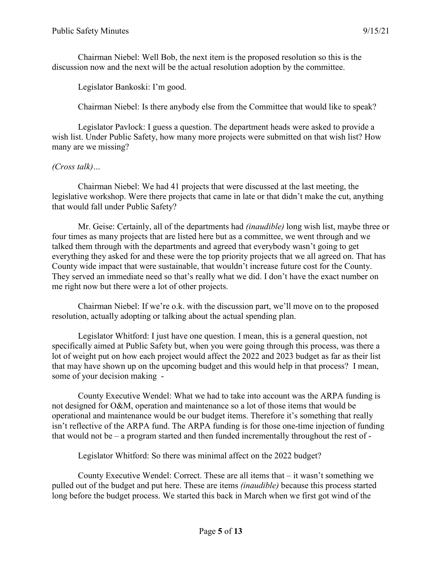Chairman Niebel: Well Bob, the next item is the proposed resolution so this is the discussion now and the next will be the actual resolution adoption by the committee.

Legislator Bankoski: I'm good.

Chairman Niebel: Is there anybody else from the Committee that would like to speak?

Legislator Pavlock: I guess a question. The department heads were asked to provide a wish list. Under Public Safety, how many more projects were submitted on that wish list? How many are we missing?

# *(Cross talk)…*

Chairman Niebel: We had 41 projects that were discussed at the last meeting, the legislative workshop. Were there projects that came in late or that didn't make the cut, anything that would fall under Public Safety?

Mr. Geise: Certainly, all of the departments had *(inaudible)* long wish list, maybe three or four times as many projects that are listed here but as a committee, we went through and we talked them through with the departments and agreed that everybody wasn't going to get everything they asked for and these were the top priority projects that we all agreed on. That has County wide impact that were sustainable, that wouldn't increase future cost for the County. They served an immediate need so that's really what we did. I don't have the exact number on me right now but there were a lot of other projects.

Chairman Niebel: If we're o.k. with the discussion part, we'll move on to the proposed resolution, actually adopting or talking about the actual spending plan.

Legislator Whitford: I just have one question. I mean, this is a general question, not specifically aimed at Public Safety but, when you were going through this process, was there a lot of weight put on how each project would affect the 2022 and 2023 budget as far as their list that may have shown up on the upcoming budget and this would help in that process? I mean, some of your decision making -

County Executive Wendel: What we had to take into account was the ARPA funding is not designed for O&M, operation and maintenance so a lot of those items that would be operational and maintenance would be our budget items. Therefore it's something that really isn't reflective of the ARPA fund. The ARPA funding is for those one-time injection of funding that would not be – a program started and then funded incrementally throughout the rest of -

Legislator Whitford: So there was minimal affect on the 2022 budget?

County Executive Wendel: Correct. These are all items that – it wasn't something we pulled out of the budget and put here. These are items *(inaudible)* because this process started long before the budget process. We started this back in March when we first got wind of the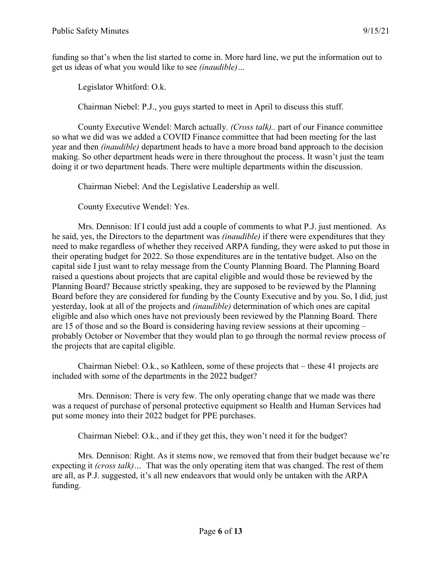funding so that's when the list started to come in. More hard line, we put the information out to get us ideas of what you would like to see *(inaudible)…*

Legislator Whitford: O.k.

Chairman Niebel: P.J., you guys started to meet in April to discuss this stuff.

County Executive Wendel: March actually. *(Cross talk)..* part of our Finance committee so what we did was we added a COVID Finance committee that had been meeting for the last year and then *(inaudible)* department heads to have a more broad band approach to the decision making. So other department heads were in there throughout the process. It wasn't just the team doing it or two department heads. There were multiple departments within the discussion.

Chairman Niebel: And the Legislative Leadership as well.

County Executive Wendel: Yes.

Mrs. Dennison: If I could just add a couple of comments to what P.J. just mentioned. As he said, yes, the Directors to the department was *(inaudible)* if there were expenditures that they need to make regardless of whether they received ARPA funding, they were asked to put those in their operating budget for 2022. So those expenditures are in the tentative budget. Also on the capital side I just want to relay message from the County Planning Board. The Planning Board raised a questions about projects that are capital eligible and would those be reviewed by the Planning Board? Because strictly speaking, they are supposed to be reviewed by the Planning Board before they are considered for funding by the County Executive and by you. So, I did, just yesterday, look at all of the projects and *(inaudible)* determination of which ones are capital eligible and also which ones have not previously been reviewed by the Planning Board. There are 15 of those and so the Board is considering having review sessions at their upcoming – probably October or November that they would plan to go through the normal review process of the projects that are capital eligible.

Chairman Niebel: O.k., so Kathleen, some of these projects that – these 41 projects are included with some of the departments in the 2022 budget?

Mrs. Dennison: There is very few. The only operating change that we made was there was a request of purchase of personal protective equipment so Health and Human Services had put some money into their 2022 budget for PPE purchases.

Chairman Niebel: O.k., and if they get this, they won't need it for the budget?

Mrs. Dennison: Right. As it stems now, we removed that from their budget because we're expecting it *(cross talk)…* That was the only operating item that was changed. The rest of them are all, as P.J. suggested, it's all new endeavors that would only be untaken with the ARPA funding.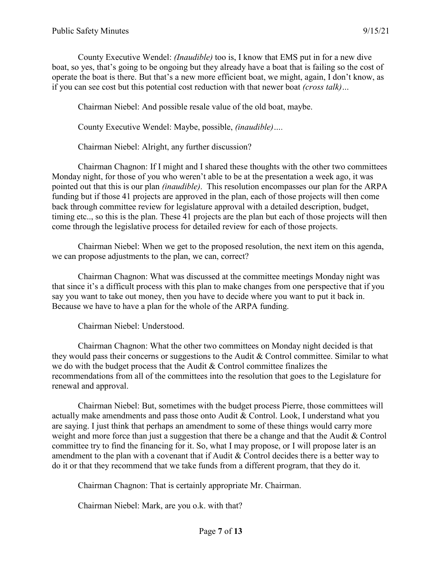County Executive Wendel: *(Inaudible)* too is, I know that EMS put in for a new dive boat, so yes, that's going to be ongoing but they already have a boat that is failing so the cost of operate the boat is there. But that's a new more efficient boat, we might, again, I don't know, as if you can see cost but this potential cost reduction with that newer boat *(cross talk)…*

Chairman Niebel: And possible resale value of the old boat, maybe.

County Executive Wendel: Maybe, possible, *(inaudible)….*

Chairman Niebel: Alright, any further discussion?

Chairman Chagnon: If I might and I shared these thoughts with the other two committees Monday night, for those of you who weren't able to be at the presentation a week ago, it was pointed out that this is our plan *(inaudible)*. This resolution encompasses our plan for the ARPA funding but if those 41 projects are approved in the plan, each of those projects will then come back through committee review for legislature approval with a detailed description, budget, timing etc.., so this is the plan. These 41 projects are the plan but each of those projects will then come through the legislative process for detailed review for each of those projects.

Chairman Niebel: When we get to the proposed resolution, the next item on this agenda, we can propose adjustments to the plan, we can, correct?

Chairman Chagnon: What was discussed at the committee meetings Monday night was that since it's a difficult process with this plan to make changes from one perspective that if you say you want to take out money, then you have to decide where you want to put it back in. Because we have to have a plan for the whole of the ARPA funding.

Chairman Niebel: Understood.

Chairman Chagnon: What the other two committees on Monday night decided is that they would pass their concerns or suggestions to the Audit & Control committee. Similar to what we do with the budget process that the Audit & Control committee finalizes the recommendations from all of the committees into the resolution that goes to the Legislature for renewal and approval.

Chairman Niebel: But, sometimes with the budget process Pierre, those committees will actually make amendments and pass those onto Audit & Control. Look, I understand what you are saying. I just think that perhaps an amendment to some of these things would carry more weight and more force than just a suggestion that there be a change and that the Audit & Control committee try to find the financing for it. So, what I may propose, or I will propose later is an amendment to the plan with a covenant that if Audit & Control decides there is a better way to do it or that they recommend that we take funds from a different program, that they do it.

Chairman Chagnon: That is certainly appropriate Mr. Chairman.

Chairman Niebel: Mark, are you o.k. with that?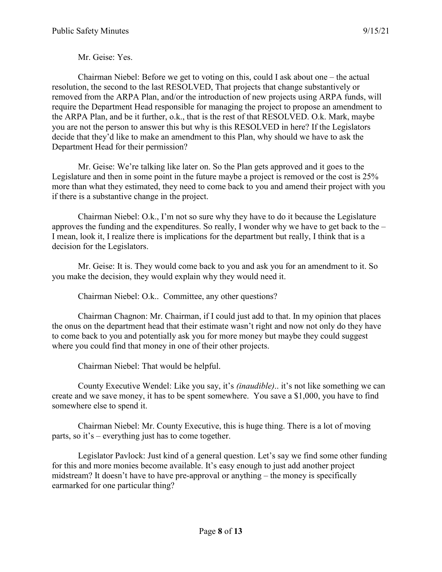Mr. Geise: Yes.

Chairman Niebel: Before we get to voting on this, could I ask about one – the actual resolution, the second to the last RESOLVED, That projects that change substantively or removed from the ARPA Plan, and/or the introduction of new projects using ARPA funds, will require the Department Head responsible for managing the project to propose an amendment to the ARPA Plan, and be it further, o.k., that is the rest of that RESOLVED. O.k. Mark, maybe you are not the person to answer this but why is this RESOLVED in here? If the Legislators decide that they'd like to make an amendment to this Plan, why should we have to ask the Department Head for their permission?

Mr. Geise: We're talking like later on. So the Plan gets approved and it goes to the Legislature and then in some point in the future maybe a project is removed or the cost is 25% more than what they estimated, they need to come back to you and amend their project with you if there is a substantive change in the project.

Chairman Niebel: O.k., I'm not so sure why they have to do it because the Legislature approves the funding and the expenditures. So really, I wonder why we have to get back to the – I mean, look it, I realize there is implications for the department but really, I think that is a decision for the Legislators.

Mr. Geise: It is. They would come back to you and ask you for an amendment to it. So you make the decision, they would explain why they would need it.

Chairman Niebel: O.k.. Committee, any other questions?

Chairman Chagnon: Mr. Chairman, if I could just add to that. In my opinion that places the onus on the department head that their estimate wasn't right and now not only do they have to come back to you and potentially ask you for more money but maybe they could suggest where you could find that money in one of their other projects.

Chairman Niebel: That would be helpful.

County Executive Wendel: Like you say, it's *(inaudible)*.. it's not like something we can create and we save money, it has to be spent somewhere. You save a \$1,000, you have to find somewhere else to spend it.

Chairman Niebel: Mr. County Executive, this is huge thing. There is a lot of moving parts, so it's – everything just has to come together.

Legislator Pavlock: Just kind of a general question. Let's say we find some other funding for this and more monies become available. It's easy enough to just add another project midstream? It doesn't have to have pre-approval or anything – the money is specifically earmarked for one particular thing?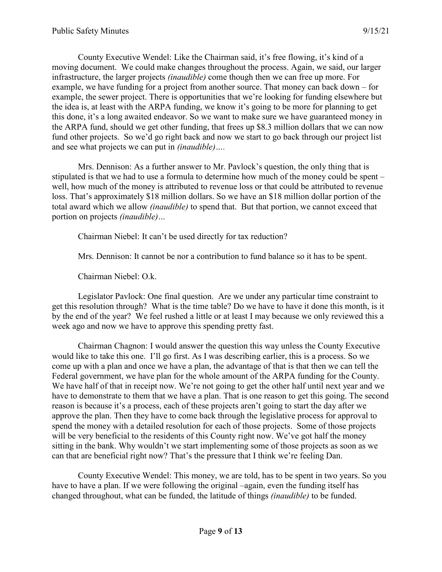County Executive Wendel: Like the Chairman said, it's free flowing, it's kind of a moving document. We could make changes throughout the process. Again, we said, our larger infrastructure, the larger projects *(inaudible)* come though then we can free up more. For example, we have funding for a project from another source. That money can back down – for example, the sewer project. There is opportunities that we're looking for funding elsewhere but the idea is, at least with the ARPA funding, we know it's going to be more for planning to get this done, it's a long awaited endeavor. So we want to make sure we have guaranteed money in the ARPA fund, should we get other funding, that frees up \$8.3 million dollars that we can now fund other projects. So we'd go right back and now we start to go back through our project list and see what projects we can put in *(inaudible)….*

Mrs. Dennison: As a further answer to Mr. Pavlock's question, the only thing that is stipulated is that we had to use a formula to determine how much of the money could be spent – well, how much of the money is attributed to revenue loss or that could be attributed to revenue loss. That's approximately \$18 million dollars. So we have an \$18 million dollar portion of the total award which we allow *(inaudible)* to spend that. But that portion, we cannot exceed that portion on projects *(inaudible)…*

Chairman Niebel: It can't be used directly for tax reduction?

Mrs. Dennison: It cannot be nor a contribution to fund balance so it has to be spent.

Chairman Niebel: O.k.

Legislator Pavlock: One final question. Are we under any particular time constraint to get this resolution through? What is the time table? Do we have to have it done this month, is it by the end of the year? We feel rushed a little or at least I may because we only reviewed this a week ago and now we have to approve this spending pretty fast.

Chairman Chagnon: I would answer the question this way unless the County Executive would like to take this one. I'll go first. As I was describing earlier, this is a process. So we come up with a plan and once we have a plan, the advantage of that is that then we can tell the Federal government, we have plan for the whole amount of the ARPA funding for the County. We have half of that in receipt now. We're not going to get the other half until next year and we have to demonstrate to them that we have a plan. That is one reason to get this going. The second reason is because it's a process, each of these projects aren't going to start the day after we approve the plan. Then they have to come back through the legislative process for approval to spend the money with a detailed resolution for each of those projects. Some of those projects will be very beneficial to the residents of this County right now. We've got half the money sitting in the bank. Why wouldn't we start implementing some of those projects as soon as we can that are beneficial right now? That's the pressure that I think we're feeling Dan.

County Executive Wendel: This money, we are told, has to be spent in two years. So you have to have a plan. If we were following the original –again, even the funding itself has changed throughout, what can be funded, the latitude of things *(inaudible)* to be funded.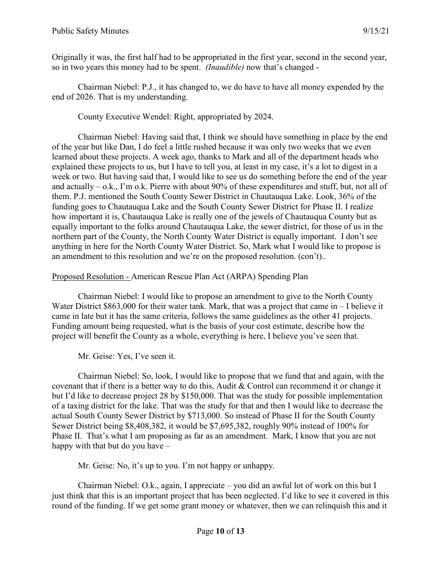Originally it was, the first half had to be appropriated in the first year, second in the second year, so in two years this money had to be spent. *(Inaudible)* now that's changed -

Chairman Niebel: P.J., it has changed to, we do have to have all money expended by the end of 2026. That is my understanding.

County Executive Wendel: Right, appropriated by 2024.

Chairman Niebel: Having said that, I think we should have something in place by the end of the year but like Dan, I do feel a little rushed because it was only two weeks that we even learned about these projects. A week ago, thanks to Mark and all of the department heads who explained these projects to us, but I have to tell you, at least in my case, it's a lot to digest in a week or two. But having said that, I would like to see us do something before the end of the year and actually – o.k., I'm o.k. Pierre with about 90% of these expenditures and stuff, but, not all of them. P.J. mentioned the South County Sewer District in Chautauqua Lake. Look, 36% of the funding goes to Chautauqua Lake and the South County Sewer District for Phase II. I realize how important it is, Chautauqua Lake is really one of the jewels of Chautauqua County but as equally important to the folks around Chautauqua Lake, the sewer district, for those of us in the northern part of the County, the North County Water District is equally important. I don't see anything in here for the North County Water District. So, Mark what I would like to propose is an amendment to this resolution and we're on the proposed resolution. (con't)..

# Proposed Resolution - American Rescue Plan Act (ARPA) Spending Plan

Chairman Niebel: I would like to propose an amendment to give to the North County Water District \$863,000 for their water tank. Mark, that was a project that came in – I believe it came in late but it has the same criteria, follows the same guidelines as the other 41 projects. Funding amount being requested, what is the basis of your cost estimate, describe how the project will benefit the County as a whole, everything is here, I believe you've seen that.

Mr. Geise: Yes, I've seen it.

Chairman Niebel: So, look, I would like to propose that we fund that and again, with the covenant that if there is a better way to do this, Audit & Control can recommend it or change it but I'd like to decrease project 28 by \$150,000. That was the study for possible implementation of a taxing district for the lake. That was the study for that and then I would like to decrease the actual South County Sewer District by \$713,000. So instead of Phase II for the South County Sewer District being \$8,408,382, it would be \$7,695,382, roughly 90% instead of 100% for Phase II. That's what I am proposing as far as an amendment. Mark, I know that you are not happy with that but do you have –

Mr. Geise: No, it's up to you. I'm not happy or unhappy.

Chairman Niebel: O.k., again, I appreciate – you did an awful lot of work on this but I just think that this is an important project that has been neglected. I'd like to see it covered in this round of the funding. If we get some grant money or whatever, then we can relinquish this and it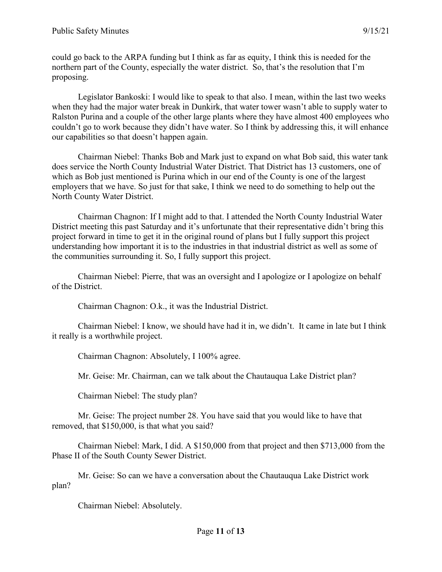could go back to the ARPA funding but I think as far as equity, I think this is needed for the northern part of the County, especially the water district. So, that's the resolution that I'm proposing.

Legislator Bankoski: I would like to speak to that also. I mean, within the last two weeks when they had the major water break in Dunkirk, that water tower wasn't able to supply water to Ralston Purina and a couple of the other large plants where they have almost 400 employees who couldn't go to work because they didn't have water. So I think by addressing this, it will enhance our capabilities so that doesn't happen again.

Chairman Niebel: Thanks Bob and Mark just to expand on what Bob said, this water tank does service the North County Industrial Water District. That District has 13 customers, one of which as Bob just mentioned is Purina which in our end of the County is one of the largest employers that we have. So just for that sake, I think we need to do something to help out the North County Water District.

Chairman Chagnon: If I might add to that. I attended the North County Industrial Water District meeting this past Saturday and it's unfortunate that their representative didn't bring this project forward in time to get it in the original round of plans but I fully support this project understanding how important it is to the industries in that industrial district as well as some of the communities surrounding it. So, I fully support this project.

Chairman Niebel: Pierre, that was an oversight and I apologize or I apologize on behalf of the District.

Chairman Chagnon: O.k., it was the Industrial District.

Chairman Niebel: I know, we should have had it in, we didn't. It came in late but I think it really is a worthwhile project.

Chairman Chagnon: Absolutely, I 100% agree.

Mr. Geise: Mr. Chairman, can we talk about the Chautauqua Lake District plan?

Chairman Niebel: The study plan?

Mr. Geise: The project number 28. You have said that you would like to have that removed, that \$150,000, is that what you said?

Chairman Niebel: Mark, I did. A \$150,000 from that project and then \$713,000 from the Phase II of the South County Sewer District.

Mr. Geise: So can we have a conversation about the Chautauqua Lake District work plan?

Chairman Niebel: Absolutely.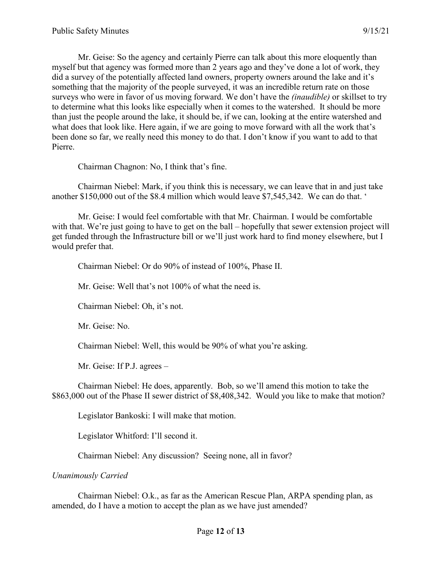Mr. Geise: So the agency and certainly Pierre can talk about this more eloquently than myself but that agency was formed more than 2 years ago and they've done a lot of work, they did a survey of the potentially affected land owners, property owners around the lake and it's something that the majority of the people surveyed, it was an incredible return rate on those surveys who were in favor of us moving forward. We don't have the *(inaudible)* or skillset to try to determine what this looks like especially when it comes to the watershed. It should be more than just the people around the lake, it should be, if we can, looking at the entire watershed and what does that look like. Here again, if we are going to move forward with all the work that's been done so far, we really need this money to do that. I don't know if you want to add to that Pierre.

Chairman Chagnon: No, I think that's fine.

Chairman Niebel: Mark, if you think this is necessary, we can leave that in and just take another \$150,000 out of the \$8.4 million which would leave \$7,545,342. We can do that. '

Mr. Geise: I would feel comfortable with that Mr. Chairman. I would be comfortable with that. We're just going to have to get on the ball – hopefully that sewer extension project will get funded through the Infrastructure bill or we'll just work hard to find money elsewhere, but I would prefer that.

Chairman Niebel: Or do 90% of instead of 100%, Phase II.

Mr. Geise: Well that's not 100% of what the need is.

Chairman Niebel: Oh, it's not.

Mr. Geise: No.

Chairman Niebel: Well, this would be 90% of what you're asking.

Mr. Geise: If P.J. agrees –

Chairman Niebel: He does, apparently. Bob, so we'll amend this motion to take the \$863,000 out of the Phase II sewer district of \$8,408,342. Would you like to make that motion?

Legislator Bankoski: I will make that motion.

Legislator Whitford: I'll second it.

Chairman Niebel: Any discussion? Seeing none, all in favor?

*Unanimously Carried*

Chairman Niebel: O.k., as far as the American Rescue Plan, ARPA spending plan, as amended, do I have a motion to accept the plan as we have just amended?